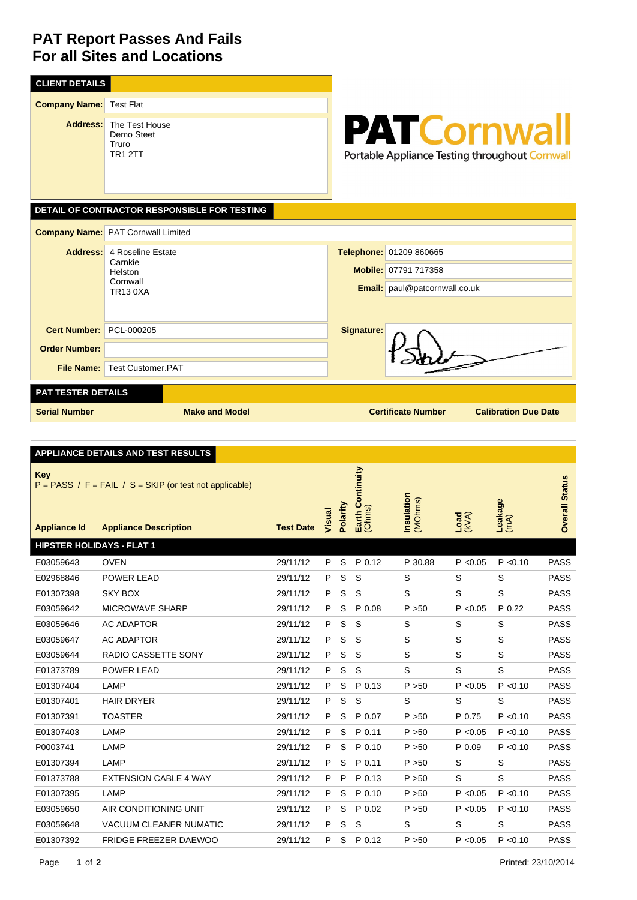## **PAT Report Passes And Fails For all Sites and Locations**

| <b>CLIENT DETAILS</b>                        |                                                                                       |                                                                                         |  |  |  |  |  |  |  |
|----------------------------------------------|---------------------------------------------------------------------------------------|-----------------------------------------------------------------------------------------|--|--|--|--|--|--|--|
| <b>Company Name:</b>                         | <b>Test Flat</b>                                                                      |                                                                                         |  |  |  |  |  |  |  |
|                                              | <b>Address:</b> The Test House<br>Demo Steet<br>Truro<br><b>TR1 2TT</b>               | <b>PATCornwall</b><br>Portable Appliance Testing throughout Cornwall                    |  |  |  |  |  |  |  |
| DETAIL OF CONTRACTOR RESPONSIBLE FOR TESTING |                                                                                       |                                                                                         |  |  |  |  |  |  |  |
|                                              | <b>Company Name:</b> PAT Cornwall Limited                                             |                                                                                         |  |  |  |  |  |  |  |
|                                              | <b>Address:</b> 4 Roseline Estate<br>Carnkie<br>Helston<br>Cornwall<br><b>TR130XA</b> | Telephone: 01209 860665<br>Mobile: 07791 717358<br><b>Email:</b> paul@patcornwall.co.uk |  |  |  |  |  |  |  |
| <b>Cert Number:</b>                          | PCL-000205                                                                            | <b>Signature:</b>                                                                       |  |  |  |  |  |  |  |
| <b>Order Number:</b>                         |                                                                                       |                                                                                         |  |  |  |  |  |  |  |
| <b>File Name:</b>                            | Test Customer PAT                                                                     |                                                                                         |  |  |  |  |  |  |  |
| PAT TESTER DETAILS                           |                                                                                       |                                                                                         |  |  |  |  |  |  |  |
| <b>Serial Number</b>                         | <b>Make and Model</b>                                                                 | <b>Certificate Number</b><br><b>Calibration Due Date</b>                                |  |  |  |  |  |  |  |

|                                   | APPLIANCE DETAILS AND TEST RESULTS                                                        |                  |        |          |                            |                       |                        |                 |                       |
|-----------------------------------|-------------------------------------------------------------------------------------------|------------------|--------|----------|----------------------------|-----------------------|------------------------|-----------------|-----------------------|
| <b>Key</b><br><b>Appliance Id</b> | $P = PASS / F = FAIL / S = SKIP$ (or test not applicable)<br><b>Appliance Description</b> | <b>Test Date</b> | Visual | Polarity | Earth Continuity<br>(Ohms) | Insulation<br>(MOhms) | $\frac{1}{N(\lambda)}$ | Leakage<br>(mA) | <b>Overall Status</b> |
| <b>HIPSTER HOLIDAYS - FLAT 1</b>  |                                                                                           |                  |        |          |                            |                       |                        |                 |                       |
| E03059643                         | <b>OVEN</b>                                                                               | 29/11/12         | P      | S        | P 0.12                     | P 30.88               | P < 0.05               | P < 0.10        | <b>PASS</b>           |
| E02968846                         | <b>POWER LEAD</b>                                                                         | 29/11/12         | P      | S        | S                          | S                     | S                      | S               | <b>PASS</b>           |
| E01307398                         | <b>SKY BOX</b>                                                                            | 29/11/12         | P      | S        | S                          | S                     | S                      | S               | <b>PASS</b>           |
| E03059642                         | <b>MICROWAVE SHARP</b>                                                                    | 29/11/12         | P      | S        | P 0.08                     | P > 50                | P < 0.05               | P 0.22          | <b>PASS</b>           |
| E03059646                         | <b>AC ADAPTOR</b>                                                                         | 29/11/12         | P      | S        | S                          | S                     | S                      | S               | <b>PASS</b>           |
| E03059647                         | <b>AC ADAPTOR</b>                                                                         | 29/11/12         | P      | S        | S                          | S                     | S                      | S               | <b>PASS</b>           |
| E03059644                         | RADIO CASSETTE SONY                                                                       | 29/11/12         | P      | S        | S                          | S                     | S                      | S               | <b>PASS</b>           |
| E01373789                         | <b>POWER LEAD</b>                                                                         | 29/11/12         | P      | S        | S                          | S                     | S                      | S               | <b>PASS</b>           |
| E01307404                         | LAMP                                                                                      | 29/11/12         | P      | S        | P 0.13                     | P > 50                | P < 0.05               | P < 0.10        | <b>PASS</b>           |
| E01307401                         | <b>HAIR DRYER</b>                                                                         | 29/11/12         | P      | S        | S                          | S                     | S                      | S               | <b>PASS</b>           |
| E01307391                         | <b>TOASTER</b>                                                                            | 29/11/12         | P      | S        | P 0.07                     | P > 50                | P 0.75                 | P < 0.10        | <b>PASS</b>           |
| E01307403                         | LAMP                                                                                      | 29/11/12         | P      | S        | P 0.11                     | P > 50                | P < 0.05               | P < 0.10        | <b>PASS</b>           |
| P0003741                          | LAMP                                                                                      | 29/11/12         | P      | S        | P 0.10                     | P > 50                | P 0.09                 | P < 0.10        | <b>PASS</b>           |
| E01307394                         | LAMP                                                                                      | 29/11/12         | P      | S        | P 0.11                     | P > 50                | S                      | S               | <b>PASS</b>           |
| E01373788                         | <b>EXTENSION CABLE 4 WAY</b>                                                              | 29/11/12         | P      | P        | P 0.13                     | P > 50                | S                      | S               | <b>PASS</b>           |
| E01307395                         | LAMP                                                                                      | 29/11/12         | P      | S        | P 0.10                     | P > 50                | P < 0.05               | P < 0.10        | <b>PASS</b>           |
| E03059650                         | AIR CONDITIONING UNIT                                                                     | 29/11/12         | P      | S        | P 0.02                     | P > 50                | P < 0.05               | P < 0.10        | <b>PASS</b>           |
| E03059648                         | <b>VACUUM CLEANER NUMATIC</b>                                                             | 29/11/12         | P      | S        | S                          | S                     | S                      | S               | <b>PASS</b>           |
| E01307392                         | <b>FRIDGE FREEZER DAEWOO</b>                                                              | 29/11/12         | P      | S        | P 0.12                     | P > 50                | P < 0.05               | P < 0.10        | <b>PASS</b>           |